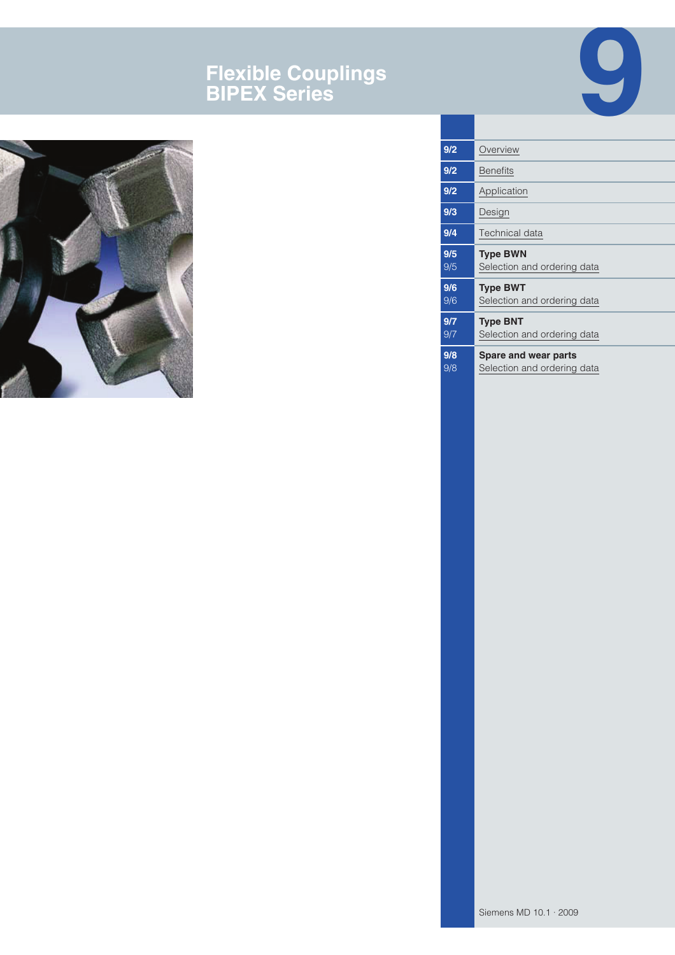# **Flexible Couplings BIPEX Series**





| 9/2        | Overview                                            |
|------------|-----------------------------------------------------|
| 9/2        | <b>Benefits</b>                                     |
| 9/2        | Application                                         |
| 9/3        | Design                                              |
| 9/4        | Technical data                                      |
| 9/5<br>9/5 | <b>Type BWN</b><br>Selection and ordering data      |
| 9/6<br>9/6 | <b>Type BWT</b><br>Selection and ordering data      |
| 9/7<br>9/7 | <b>Type BNT</b><br>Selection and ordering data      |
| 9/8<br>9/8 | Spare and wear parts<br>Selection and ordering data |
|            |                                                     |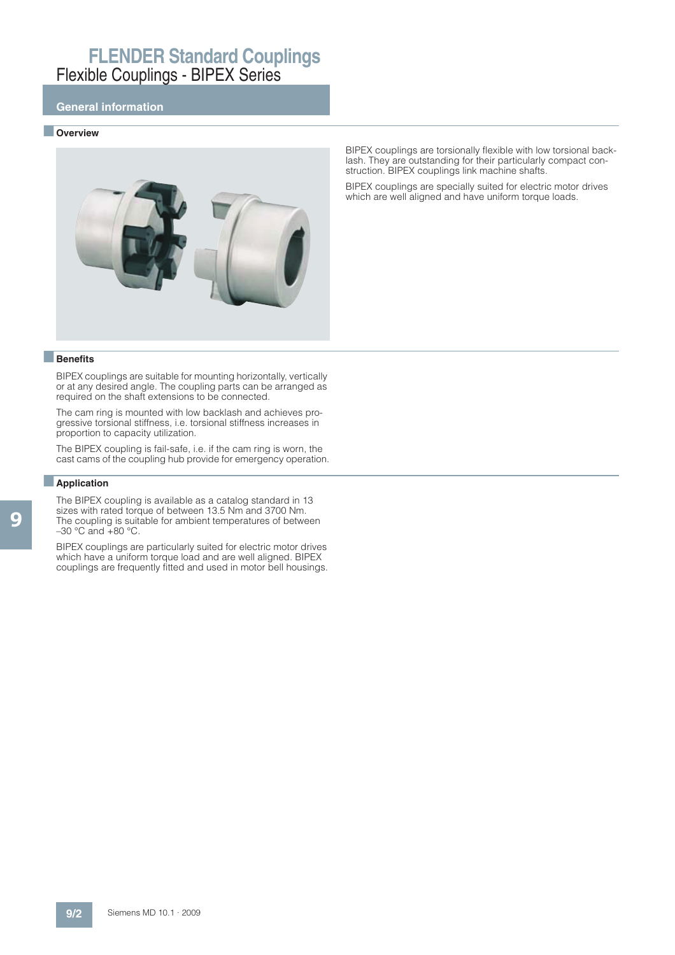### **General information**

#### ■ **Overview**



■**Benefits**

BIPEX couplings are suitable for mounting horizontally, vertically or at any desired angle. The coupling parts can be arranged as required on the shaft extensions to be connected.

The cam ring is mounted with low backlash and achieves progressive torsional stiffness, i.e. torsional stiffness increases in proportion to capacity utilization.

The BIPEX coupling is fail-safe, i.e. if the cam ring is worn, the cast cams of the coupling hub provide for emergency operation.

#### ■**Application**

The BIPEX coupling is available as a catalog standard in 13 sizes with rated torque of between 13.5 Nm and 3700 Nm. The coupling is suitable for ambient temperatures of between  $-30$  °C and  $+80$  °C.

BIPEX couplings are particularly suited for electric motor drives which have a uniform torque load and are well aligned. BIPEX couplings are frequently fitted and used in motor bell housings.

BIPEX couplings are torsionally flexible with low torsional backlash. They are outstanding for their particularly compact construction. BIPEX couplings link machine shafts.

BIPEX couplings are specially suited for electric motor drives which are well aligned and have uniform torque loads.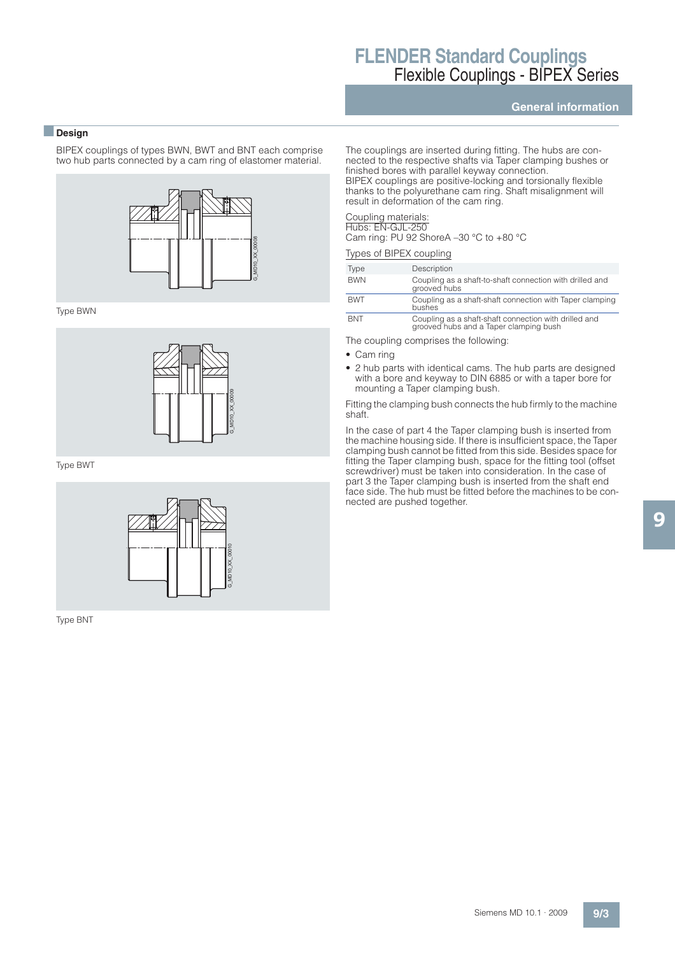### **General information**

### ■**Design**

BIPEX couplings of types BWN, BWT and BNT each comprise two hub parts connected by a cam ring of elastomer material.



Type BWN



Type BWT



Type BNT

The couplings are inserted during fitting. The hubs are connected to the respective shafts via Taper clamping bushes or finished bores with parallel keyway connection. BIPEX couplings are positive-locking and torsionally flexible thanks to the polyurethane cam ring. Shaft misalignment will result in deformation of the cam ring.

#### Coupling materials:

Hubs: EN-GJL-250

Cam ring: PU 92 ShoreA –30 °C to +80 °C

#### Types of BIPEX coupling

|             | Description                                                                                     |
|-------------|-------------------------------------------------------------------------------------------------|
| <b>Type</b> |                                                                                                 |
| <b>BWN</b>  | Coupling as a shaft-to-shaft connection with drilled and<br>grooved hubs                        |
| <b>BWT</b>  | Coupling as a shaft-shaft connection with Taper clamping<br>bushes                              |
| <b>BNT</b>  | Coupling as a shaft-shaft connection with drilled and<br>grooved hubs and a Taper clamping bush |

The coupling comprises the following:

• Cam ring

• 2 hub parts with identical cams. The hub parts are designed with a bore and keyway to DIN 6885 or with a taper bore for mounting a Taper clamping bush.

Fitting the clamping bush connects the hub firmly to the machine shaft.

In the case of part 4 the Taper clamping bush is inserted from the machine housing side. If there is insufficient space, the Taper clamping bush cannot be fitted from this side. Besides space for fitting the Taper clamping bush, space for the fitting tool (offset screwdriver) must be taken into consideration. In the case of part 3 the Taper clamping bush is inserted from the shaft end face side. The hub must be fitted before the machines to be connected are pushed together.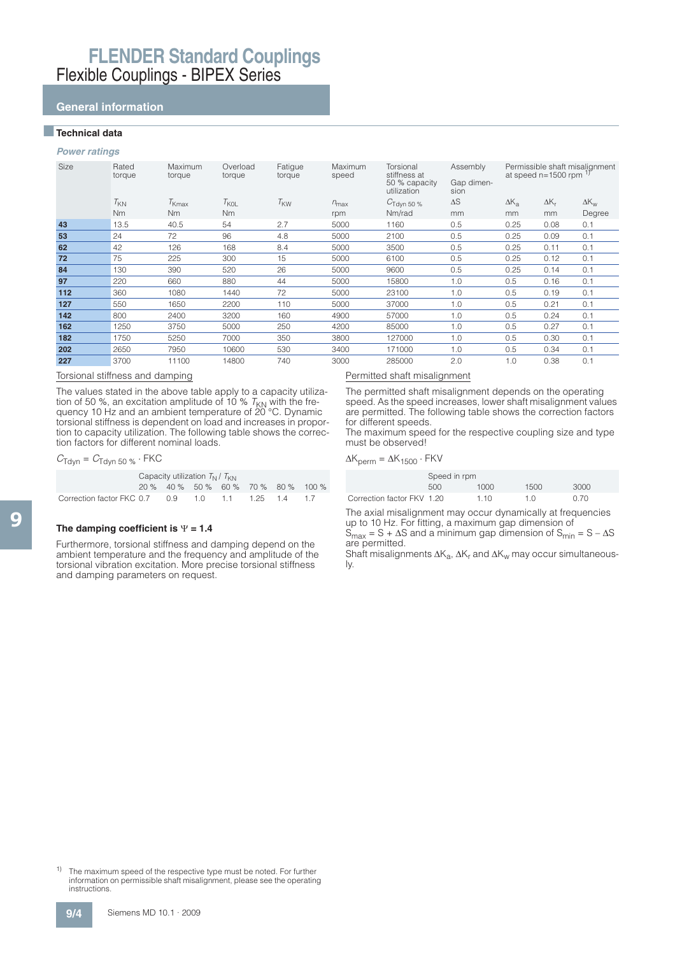## **General information**

### ■**Technical data**

#### **Power ratings**

| <b>Size</b> | Rated<br>torque | Maximum<br>torque | Overload<br>torque | Fatique<br>torque | <b>Maximum</b><br>speed | Torsional<br>stiffness at<br>50 % capacity<br>utilization | Assembly<br>Gap dimen-<br>sion |                | Permissible shaft misalignment<br>at speed n=1500 rpm $17$ |                    |
|-------------|-----------------|-------------------|--------------------|-------------------|-------------------------|-----------------------------------------------------------|--------------------------------|----------------|------------------------------------------------------------|--------------------|
|             | $T_{KN}$        | $T_{\text{Kmax}}$ | $T_{\text{KOL}}$   | $T_{\text{KW}}$   | $n_{\text{max}}$        | $C_{\text{Tdyn 50\%}}$                                    | $\Delta S$                     | $\Delta K_{a}$ | $\Delta K_r$                                               | $\Delta K_{\rm w}$ |
|             | <b>Nm</b>       | N <sub>m</sub>    | <b>Nm</b>          |                   | rpm                     | Nm/rad                                                    | mm                             | mm             | mm                                                         | Degree             |
| 43          | 13.5            | 40.5              | 54                 | 2.7               | 5000                    | 1160                                                      | 0.5                            | 0.25           | 0.08                                                       | 0.1                |
| 53          | 24              | 72                | 96                 | 4.8               | 5000                    | 2100                                                      | 0.5                            | 0.25           | 0.09                                                       | 0.1                |
| 62          | 42              | 126               | 168                | 8.4               | 5000                    | 3500                                                      | 0.5                            | 0.25           | 0.11                                                       | 0.1                |
| 72          | 75              | 225               | 300                | 15                | 5000                    | 6100                                                      | 0.5                            | 0.25           | 0.12                                                       | 0.1                |
| 84          | 130             | 390               | 520                | 26                | 5000                    | 9600                                                      | 0.5                            | 0.25           | 0.14                                                       | 0.1                |
| 97          | 220             | 660               | 880                | 44                | 5000                    | 15800                                                     | 1.0                            | 0.5            | 0.16                                                       | 0.1                |
| 112         | 360             | 1080              | 1440               | 72                | 5000                    | 23100                                                     | 1.0                            | 0.5            | 0.19                                                       | 0.1                |
| 127         | 550             | 1650              | 2200               | 110               | 5000                    | 37000                                                     | 1.0                            | 0.5            | 0.21                                                       | 0.1                |
| 142         | 800             | 2400              | 3200               | 160               | 4900                    | 57000                                                     | 1.0                            | 0.5            | 0.24                                                       | 0.1                |
| 162         | 1250            | 3750              | 5000               | 250               | 4200                    | 85000                                                     | 1.0                            | 0.5            | 0.27                                                       | 0.1                |
| 182         | 1750            | 5250              | 7000               | 350               | 3800                    | 127000                                                    | 1.0                            | 0.5            | 0.30                                                       | 0.1                |
| 202         | 2650            | 7950              | 10600              | 530               | 3400                    | 171000                                                    | 1.0                            | 0.5            | 0.34                                                       | 0.1                |
| 227         | 3700            | 11100             | 14800              | 740               | 3000                    | 285000                                                    | 2.0                            | 1.0            | 0.38                                                       | 0.1                |

#### Torsional stiffness and damping

The values stated in the above table apply to a capacity utilization of 50 %, an excitation amplitude of 10 %  $T_{\rm KN}$  with the fre-<br>quency 10 Hz and an ambient temperature of 20 °C. Dynamic torsional stiffness is dependent on load and increases in proportion to capacity utilization. The following table shows the correction factors for different nominal loads.

 $C_{\text{Tdyn}} = C_{\text{Tdyn }50 \%} \cdot \text{FKC}$ 

|                                                    | Capacity utilization $T_{N}/T_{KN}$ |  |  |  |  |                                     |  |  |  |  |  |  |  |
|----------------------------------------------------|-------------------------------------|--|--|--|--|-------------------------------------|--|--|--|--|--|--|--|
|                                                    |                                     |  |  |  |  | 20 % 40 % 50 % 60 % 70 % 80 % 100 % |  |  |  |  |  |  |  |
| Correction factor FKC 0.7 0.9 1.0 1.1 1.25 1.4 1.7 |                                     |  |  |  |  |                                     |  |  |  |  |  |  |  |

#### The damping coefficient is  $\Psi = 1.4$

Furthermore, torsional stiffness and damping depend on the ambient temperature and the frequency and amplitude of the torsional vibration excitation. More precise torsional stiffness and damping parameters on request.

#### Permitted shaft misalignment

The permitted shaft misalignment depends on the operating speed. As the speed increases, lower shaft misalignment values are permitted. The following table shows the correction factors for different speeds.

The maximum speed for the respective coupling size and type must be observed!

#### $\Delta K_{\text{perm}} = \Delta K_{1500} \cdot \text{FKV}$

|                            | Speed in rpm |      |      |      |  |  |  |  |  |  |  |
|----------------------------|--------------|------|------|------|--|--|--|--|--|--|--|
|                            | 500          | 1000 | 1500 | 3000 |  |  |  |  |  |  |  |
| Correction factor FKV 1.20 |              | 1.10 | 1.0  | 0.70 |  |  |  |  |  |  |  |

The axial misalignment may occur dynamically at frequencies up to 10 Hz. For fitting, a maximum gap dimension of  $S<sub>max</sub> = S + \Delta S$  and a minimum gap dimension of  $S<sub>min</sub> = S - \Delta S$ are permitted.

Shaft misalignments  $\Delta K_{\rm a}$ ,  $\Delta K_{\rm r}$  and  $\Delta K_{\rm w}$  may occur simultaneously.

9

<sup>&</sup>lt;sup>1)</sup> The maximum speed of the respective type must be noted. For further information on permissible shaft misalignment, please see the operating instructions.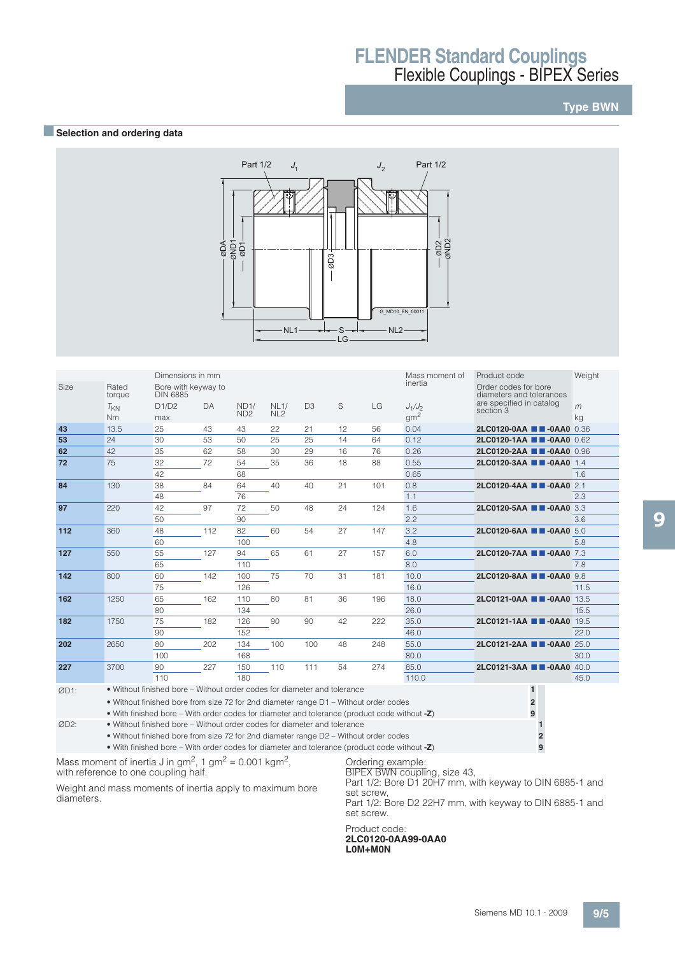## **Type BWN**

### **BSelection and ordering data**



|      |                 | Dimensions in mm                                                                                                                                                                                                          |     |                 |                 |     |    |     | Mass moment of  | Product code                                     | Weight |
|------|-----------------|---------------------------------------------------------------------------------------------------------------------------------------------------------------------------------------------------------------------------|-----|-----------------|-----------------|-----|----|-----|-----------------|--------------------------------------------------|--------|
| Size | Rated<br>torque | Bore with keyway to<br><b>DIN 6885</b>                                                                                                                                                                                    |     |                 |                 |     |    |     | inertia         | Order codes for bore<br>diameters and tolerances |        |
|      | $T_{KN}$        | D1/D2                                                                                                                                                                                                                     | DA  | ND1/            | NL1/            | D3  | S  | LG  | $J_1/J_2$       | are specified in catalog<br>section 3            | m      |
|      | <b>Nm</b>       | max.                                                                                                                                                                                                                      |     | ND <sub>2</sub> | NL <sub>2</sub> |     |    |     | gm <sup>2</sup> |                                                  | kg     |
| 43   | 13.5            | 25                                                                                                                                                                                                                        | 43  | 43              | 22              | 21  | 12 | 56  | 0.04            | 2LC0120-0AA <b>1 -0AA0</b> 0.36                  |        |
| 53   | 24              | 30                                                                                                                                                                                                                        | 53  | 50              | 25              | 25  | 14 | 64  | 0.12            | 2LC0120-1AA <b>2</b> -0AA0 0.62                  |        |
| 62   | 42              | 35                                                                                                                                                                                                                        | 62  | 58              | 30              | 29  | 16 | 76  | 0.26            | 2LC0120-2AA <b>2 3</b> -0AA0 0.96                |        |
| 72   | 75              | 32                                                                                                                                                                                                                        | 72  | 54              | 35              | 36  | 18 | 88  | 0.55            | 2LC0120-3AA <b>1 -0AA0</b> 1.4                   |        |
|      |                 | 42                                                                                                                                                                                                                        |     | 68              |                 |     |    |     | 0.65            |                                                  | 1.6    |
| 84   | 130             | 38                                                                                                                                                                                                                        | 84  | 64              | 40              | 40  | 21 | 101 | 0.8             | 2LC0120-4AA <b>1 -0AA0</b> 2.1                   |        |
|      |                 | 48                                                                                                                                                                                                                        |     | 76              |                 |     |    |     | 1.1             |                                                  | 2.3    |
| 97   | 220             | 42                                                                                                                                                                                                                        | 97  | 72              | 50              | 48  | 24 | 124 | 1.6             | 2LC0120-5AA ■■-0AA0 3.3                          |        |
|      |                 | 50                                                                                                                                                                                                                        |     | 90              |                 |     |    |     | 2.2             |                                                  | 3.6    |
| 112  | 360             | 48                                                                                                                                                                                                                        | 112 | 82              | 60              | 54  | 27 | 147 | 3.2             | 2LC0120-6AA ■■-0AA0 5.0                          |        |
|      |                 | 60                                                                                                                                                                                                                        |     | 100             |                 |     |    |     | 4.8             |                                                  | 5.8    |
| 127  | 550             | 55                                                                                                                                                                                                                        | 127 | 94              | 65              | 61  | 27 | 157 | 6.0             | 2LC0120-7AA <b>1 4</b> -0AA0 7.3                 |        |
|      |                 | 65                                                                                                                                                                                                                        |     | 110             |                 |     |    |     | 8.0             |                                                  | 7.8    |
| 142  | 800             | 60                                                                                                                                                                                                                        | 142 | 100             | 75              | 70  | 31 | 181 | 10.0            | 2LC0120-8AA <b>1 -0AA0</b> 9.8                   |        |
|      |                 | 75                                                                                                                                                                                                                        |     | 126             |                 |     |    |     | 16.0            |                                                  | 11.5   |
| 162  | 1250            | 65                                                                                                                                                                                                                        | 162 | 110             | 80              | 81  | 36 | 196 | 18.0            | 2LC0121-0AA <b>11-0AA0</b> 13.5                  |        |
|      |                 | 80                                                                                                                                                                                                                        |     | 134             |                 |     |    |     | 26.0            |                                                  | 15.5   |
| 182  | 1750            | 75                                                                                                                                                                                                                        | 182 | 126             | 90              | 90  | 42 | 222 | 35.0            | 2LC0121-1AA <b>1 -0AA0</b> 19.5                  |        |
|      |                 | 90                                                                                                                                                                                                                        |     | 152             |                 |     |    |     | 46.0            |                                                  | 22.0   |
| 202  | 2650            | 80                                                                                                                                                                                                                        | 202 | 134             | 100             | 100 | 48 | 248 | 55.0            | 2LC0121-2AA <b>11-0AA0</b> 25.0                  |        |
|      |                 | 100                                                                                                                                                                                                                       |     | 168             |                 |     |    |     | 80.0            |                                                  | 30.0   |
| 227  | 3700            | 90                                                                                                                                                                                                                        | 227 | 150             | 110             | 111 | 54 | 274 | 85.0            | 2LC0121-3AA <b>2</b> -0AA0 40.0                  |        |
|      |                 | 110                                                                                                                                                                                                                       |     | 180             |                 |     |    |     | 110.0           |                                                  | 45.0   |
| ØD1: |                 | • Without finished bore – Without order codes for diameter and tolerance                                                                                                                                                  |     |                 |                 |     |    |     |                 | $\mathbf{1}$                                     |        |
|      |                 | $\mathcal{M}^{(1)}$ , $\mathcal{C}^{(1)}$ , $\mathcal{C}^{(1)}$ , $\mathcal{C}^{(1)}$ , $\mathcal{C}^{(1)}$ , $\mathcal{C}^{(1)}$ , $\mathcal{C}^{(1)}$ , $\mathcal{C}^{(1)}$ , $\mathcal{C}^{(1)}$ , $\mathcal{C}^{(1)}$ |     |                 |                 |     |    |     |                 |                                                  |        |

| • Without finished bore from size 72 for 2nd diameter range D1 – Without order codes             |  |
|--------------------------------------------------------------------------------------------------|--|
| • With finished bore – With order codes for diameter and tolerance (product code without - $Z$ ) |  |

ØD2: • Without finished bore – Without order codes for diameter and tolerance **1**

• Without finished bore from size 72 for 2nd diameter range D2 – Without order codes **2** • With finished bore – With order codes for diameter and tolerance (product code without **-Z**) **9**

Mass moment of inertia J in gm<sup>2</sup>, 1 gm<sup>2</sup> = 0.001 kgm<sup>2</sup>, with reference to one coupling half.

Weight and mass moments of inertia apply to maximum bore diameters.

Ordering example:

BIPEX BWN coupling, size 43, Part 1/2: Bore D1 20H7 mm, with keyway to DIN 6885-1 and

set screw. Part 1/2: Bore D2 22H7 mm, with keyway to DIN 6885-1 and set screw.

Product code: **2LC0120-0AA99-0AA0 L0M+M0N**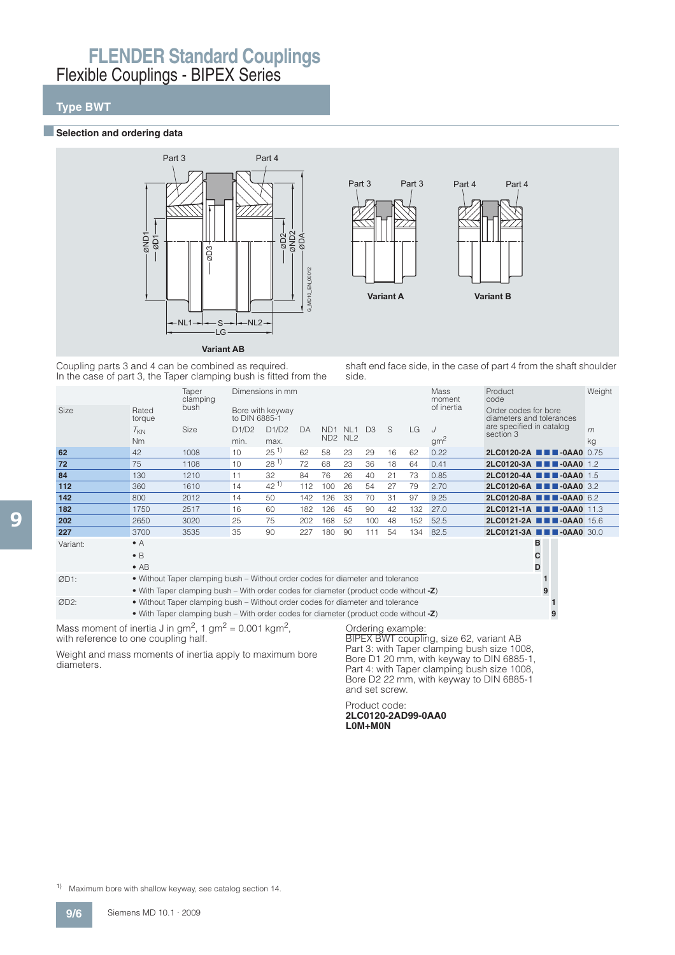## **Type BWT**

#### **B** Selection and ordering data







Coupling parts 3 and 4 can be combined as required. In the case of part 3, the Taper clamping bush is fitted from the shaft end face side, in the case of part 4 from the shaft shoulder side.

|                                                                          |                 | Taper<br>clamping                                                                    |               | Dimensions in mm |     |                 |                                 |                |    |                   | Mass<br>moment  | Product<br>code                                  | Weight |
|--------------------------------------------------------------------------|-----------------|--------------------------------------------------------------------------------------|---------------|------------------|-----|-----------------|---------------------------------|----------------|----|-------------------|-----------------|--------------------------------------------------|--------|
| Size                                                                     | Rated<br>torque | bush                                                                                 | to DIN 6885-1 | Bore with keyway |     |                 |                                 |                |    |                   | of inertia      | Order codes for bore<br>diameters and tolerances |        |
|                                                                          | $T_{KN}$        | Size                                                                                 | D1/D2         | D1/D2            | DA  | ND <sub>1</sub> | NL <sub>1</sub>                 | D <sub>3</sub> | S  | LG                | $\cdot$         | are specified in catalog<br>section 3            | m      |
|                                                                          | <b>Nm</b>       |                                                                                      | min.          | max.             |     |                 | ND <sub>2</sub> N <sub>L2</sub> |                |    |                   | gm <sup>2</sup> |                                                  | kg     |
| 62                                                                       | 42              | 1008                                                                                 | 10            | $25^{1}$         | 62  | 58              | 23                              | 29             | 16 | 62                | 0.22            | 2LC0120-2A <b>THE-0AA0</b> 0.75                  |        |
| 72                                                                       | 75              | 1108                                                                                 | 10            | $28^{11}$        | 72  | 68              | 23                              | 36             | 18 | 64                | 0.41            | 2LC0120-3A <b>III</b> -0AA0 1.2                  |        |
| 84                                                                       | 130             | 1210                                                                                 | 11            | 32               | 84  | 76              | 26                              | 40             | 21 | 73                | 0.85            | 2LC0120-4A <b>THE-0AA0</b> 1.5                   |        |
| 112                                                                      | 360             | 1610                                                                                 | 14            | $42^{1}$         | 112 | 100             | 26                              | 54             | 27 | 79                | 2.70            | 2LC0120-6A <b>THE-0AA0</b> 3.2                   |        |
| 142                                                                      | 800             | 2012                                                                                 | 14            | 50               | 142 | 126             | 33                              | 70             | 31 | 97                | 9.25            | 2LC0120-8A <b>III</b> -0AA0 6.2                  |        |
| 182                                                                      | 1750            | 2517                                                                                 | 16            | 60               | 182 | 126             | 45                              | 90             | 42 | 132               | 27.0            | 2LC0121-1A <b>III</b> -0AA0 11.3                 |        |
| 202                                                                      | 2650            | 3020                                                                                 | 25            | 75               | 202 | 168             | 52                              | 100            | 48 | 152               | 52.5            | 2LC0121-2A <b>III</b> -0AA0 15.6                 |        |
| 227                                                                      | 3700            | 3535                                                                                 | 35            | 90               | 227 | 180             | 90                              | 111            | 54 | 134               | 82.5            | 2LC0121-3A <b>III</b> -0AA0 30.0                 |        |
| Variant:                                                                 | $\bullet$ A     |                                                                                      |               |                  |     |                 |                                 |                |    |                   |                 | в                                                |        |
|                                                                          | $\bullet$ B     |                                                                                      |               |                  |     |                 |                                 |                |    |                   |                 | С                                                |        |
|                                                                          | $\bullet$ AB    |                                                                                      |               |                  |     |                 |                                 |                |    |                   |                 | D                                                |        |
| ØD1:                                                                     |                 | . Without Taper clamping bush - Without order codes for diameter and tolerance       |               |                  |     |                 |                                 |                |    |                   |                 | 1                                                |        |
|                                                                          |                 | • With Taper clamping bush – With order codes for diameter (product code without -Z) |               |                  |     |                 |                                 |                |    |                   |                 | 9                                                |        |
| ØD2:                                                                     |                 | • Without Taper clamping bush – Without order codes for diameter and tolerance       |               |                  |     |                 |                                 |                |    |                   |                 |                                                  |        |
|                                                                          |                 | • With Taper clamping bush – With order codes for diameter (product code without -Z) |               |                  |     |                 |                                 |                |    |                   |                 | 9                                                |        |
| Mass moment of inertia J in $gm^2$ , 1 $gm^2$ = 0.001 kgm <sup>2</sup> , |                 |                                                                                      |               |                  |     |                 |                                 |                |    | Ordering example: |                 |                                                  |        |

with reference to one coupling half.

Weight and mass moments of inertia apply to maximum bore diameters.

BIPEX BWT coupling, size 62, variant AB Part 3: with Taper clamping bush size 1008, Bore D1 20 mm, with keyway to DIN 6885-1, Part 4: with Taper clamping bush size 1008, Bore D2 22 mm, with keyway to DIN 6885-1 and set screw.

Product code: **2LC0120-2AD99-0AA0 L0M+M0N**

1) Maximum bore with shallow keyway, see catalog section 14.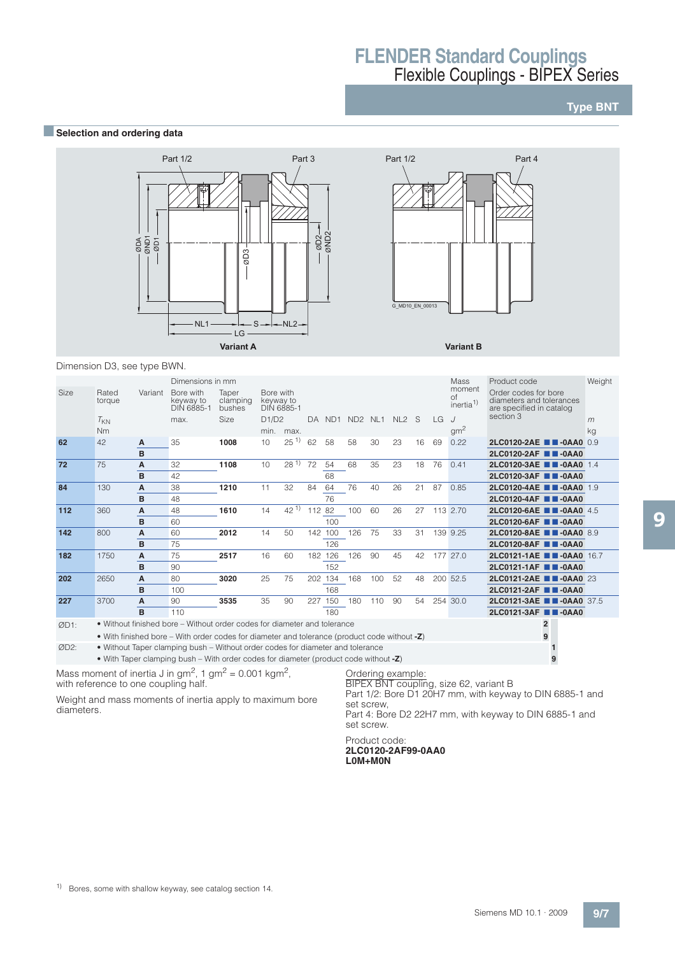## **Type BNT**

#### **■Selection and ordering data**





Dimension D3, see type BWN.

|             |                 |         | Dimensions in mm                                                         |                             |                        |            |        |         |                                 |     |     |    |     | Mass                                  | Product code                                                                 | Weight |
|-------------|-----------------|---------|--------------------------------------------------------------------------|-----------------------------|------------------------|------------|--------|---------|---------------------------------|-----|-----|----|-----|---------------------------------------|------------------------------------------------------------------------------|--------|
| <b>Size</b> | Rated<br>torque | Variant | Bore with<br>keyway to<br>DIN 6885-1                                     | Taper<br>clamping<br>bushes | Bore with<br>keyway to | DIN 6885-1 |        |         |                                 |     |     |    |     | moment<br>of<br>inertia <sup>1)</sup> | Order codes for bore<br>diameters and tolerances<br>are specified in catalog |        |
|             | $T_{KN}$        |         | max.                                                                     | Size                        | D1/D2                  |            | DA     | ND1     | ND <sub>2</sub> NL <sub>1</sub> |     | NL2 | -S | LG. | $\cdot$                               | section 3                                                                    | m      |
|             | Nm              |         |                                                                          |                             | min.                   | max.       |        |         |                                 |     |     |    |     | gm <sup>2</sup>                       |                                                                              | kg     |
| 62          | 42              | A       | 35                                                                       | 1008                        | 10                     | $25^{1}$   | 62     | 58      | 58                              | 30  | 23  | 16 | 69  | 0.22                                  | 2LC0120-2AE <b>1 -0AA0</b> 0.9                                               |        |
|             |                 | B       |                                                                          |                             |                        |            |        |         |                                 |     |     |    |     |                                       | 2LC0120-2AF 2-0AA0                                                           |        |
| 72          | 75              | A       | 32                                                                       | 1108                        | 10                     | $28^{11}$  | 72     | 54      | 68                              | 35  | 23  | 18 | 76  | 0.41                                  | 2LC0120-3AE <b>1 -0AA0</b> 1.4                                               |        |
|             |                 | B       | 42                                                                       |                             |                        |            |        | 68      |                                 |     |     |    |     |                                       | 2LC0120-3AF 2 -0AA0                                                          |        |
| 84          | 130             | A       | 38                                                                       | 1210                        | 11                     | 32         | 84     | 64      | 76                              | 40  | 26  | 21 | 87  | 0.85                                  | 2LC0120-4AE <b>1 -0AA0</b> 1.9                                               |        |
|             |                 | B       | 48                                                                       |                             |                        |            |        | 76      |                                 |     |     |    |     |                                       | 2LC0120-4AF 2-0AA0                                                           |        |
| 112         | 360             | A       | 48                                                                       | 1610                        | 14                     | $42^{11}$  | 112 82 |         | 100                             | 60  | 26  | 27 |     | 113 2.70                              | 2LC0120-6AE <b>1 -0AA0</b> 4.5                                               |        |
|             |                 | B       | 60                                                                       |                             |                        |            |        | 100     |                                 |     |     |    |     |                                       | 2LC0120-6AF 2 -0AA0                                                          |        |
| 142         | 800             | A       | 60                                                                       | 2012                        | 14                     | 50         |        | 142 100 | 126                             | 75  | 33  | 31 |     | 139 9.25                              | 2LC0120-8AE <b>1 -0AA0</b> 8.9                                               |        |
|             |                 | B       | 75                                                                       |                             |                        |            |        | 126     |                                 |     |     |    |     |                                       | 2LC0120-8AF <b>1</b> -0AA0                                                   |        |
| 182         | 1750            | A       | 75                                                                       | 2517                        | 16                     | 60         | 182    | 126     | 126                             | 90  | 45  | 42 | 177 | 27.0                                  | 2LC0121-1AE <b>B</b> -0AA0                                                   | 16.7   |
|             |                 | B       | 90                                                                       |                             |                        |            |        | 152     |                                 |     |     |    |     |                                       | 2LC0121-1AF <b>B</b> -0AA0                                                   |        |
| 202         | 2650            | A       | 80                                                                       | 3020                        | 25                     | 75         |        | 202 134 | 168                             | 100 | 52  | 48 |     | 200 52.5                              | 2LC0121-2AE <b>1 -0AA0</b> 23                                                |        |
|             |                 | B       | 100                                                                      |                             |                        |            |        | 168     |                                 |     |     |    |     |                                       | 2LC0121-2AF 2-0AA0                                                           |        |
| 227         | 3700            | A       | 90                                                                       | 3535                        | 35                     | 90         | 227    | 150     | 180                             | 110 | 90  | 54 |     | 254 30.0                              | 2LC0121-3AE <b>1 -0AA0</b> 37.5                                              |        |
|             |                 | B       | 110                                                                      |                             |                        |            |        | 180     |                                 |     |     |    |     |                                       | 2LC0121-3AF 2-0AA0                                                           |        |
| ØD1:        |                 |         | • Without finished bore – Without order codes for diameter and tolerance |                             |                        |            |        |         |                                 |     |     |    |     |                                       | $\overline{2}$                                                               |        |

• With finished bore – With order codes for diameter and tolerance (product code without **-Z**) **9**

ØD2: • Without Taper clamping bush – Without order codes for diameter and tolerance **1**

• With Taper clamping bush – With order codes for diameter (product code without **-Z**) **9**

Mass moment of inertia J in gm<sup>2</sup>, 1 gm<sup>2</sup> = 0.001 kgm<sup>2</sup>, with reference to one coupling half.

Weight and mass moments of inertia apply to maximum bore diameters.

Ordering example: BIPEX BNT coupling, size 62, variant B

Part 1/2: Bore D1 20H7 mm, with keyway to DIN 6885-1 and set screw

Part 4: Bore D2 22H7 mm, with keyway to DIN 6885-1 and set screw.

Product code: **2LC0120-2AF99-0AA0 L0M+M0N**